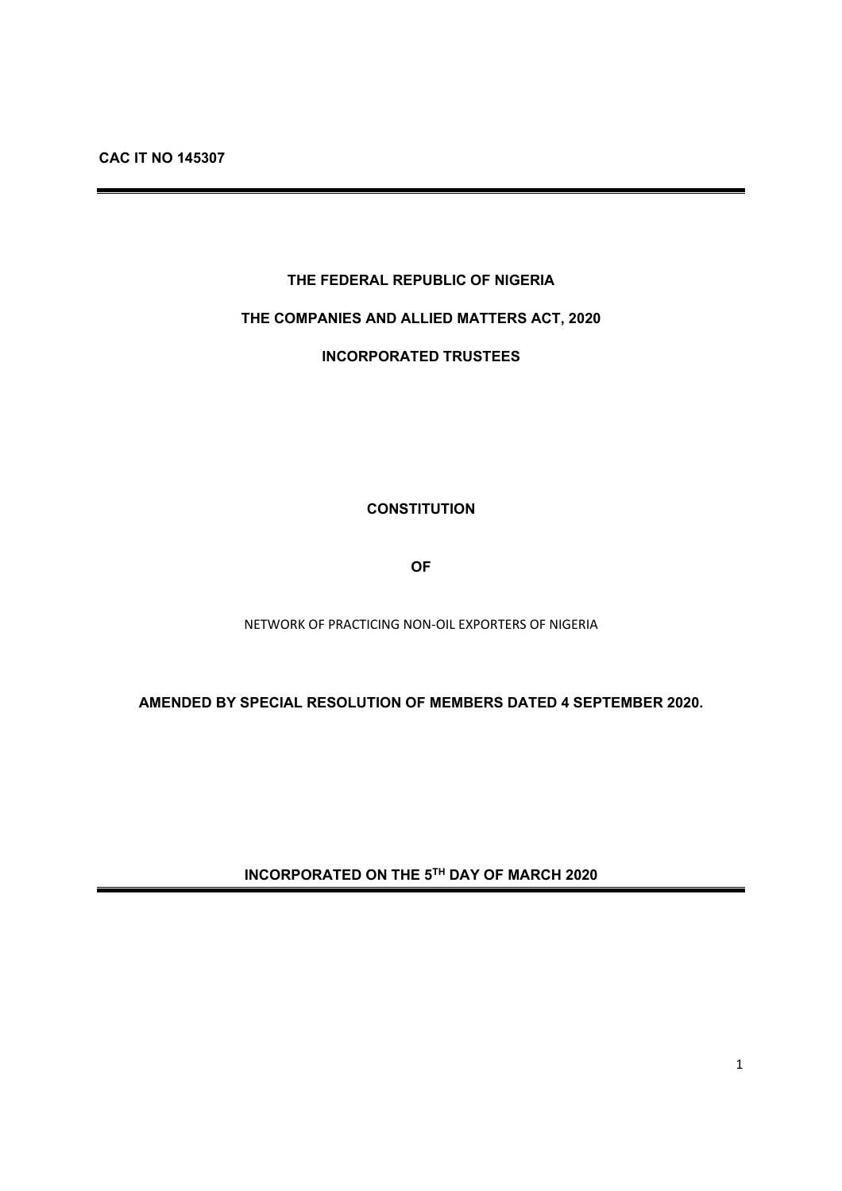# **THE FEDERAL REPUBLIC OF NIGERIA**

# **THE COMPANIES AND ALLIED MATTERS ACT, 2020**

**INCORPORATED TRUSTEES** 

**CONSTITUTION** 

**OF** 

NETWORK OF PRACTICING NON‐OIL EXPORTERS OF NIGERIA

**AMENDED BY SPECIAL RESOLUTION OF MEMBERS DATED 4 SEPTEMBER 2020.** 

**INCORPORATED ON THE 5TH DAY OF MARCH 2020**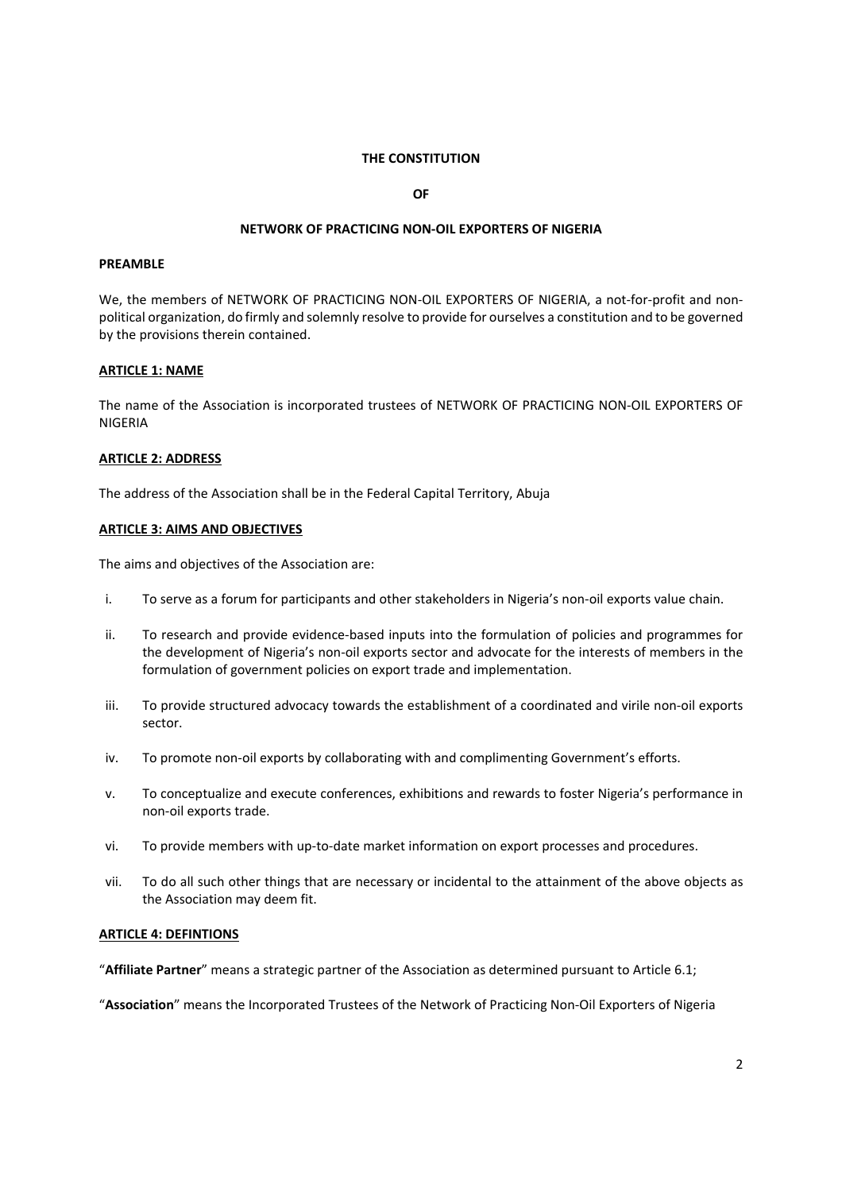#### **THE CONSTITUTION**

**OF** 

#### **NETWORK OF PRACTICING NON‐OIL EXPORTERS OF NIGERIA**

#### **PREAMBLE**

We, the members of NETWORK OF PRACTICING NON-OIL EXPORTERS OF NIGERIA, a not-for-profit and nonpolitical organization, do firmly and solemnly resolve to provide for ourselves a constitution and to be governed by the provisions therein contained.

#### **ARTICLE 1: NAME**

The name of the Association is incorporated trustees of NETWORK OF PRACTICING NON‐OIL EXPORTERS OF NIGERIA

#### **ARTICLE 2: ADDRESS**

The address of the Association shall be in the Federal Capital Territory, Abuja

#### **ARTICLE 3: AIMS AND OBJECTIVES**

The aims and objectives of the Association are:

- i. To serve as a forum for participants and other stakeholders in Nigeria's non-oil exports value chain.
- ii. To research and provide evidence‐based inputs into the formulation of policies and programmes for the development of Nigeria's non‐oil exports sector and advocate for the interests of members in the formulation of government policies on export trade and implementation.
- iii. To provide structured advocacy towards the establishment of a coordinated and virile non‐oil exports sector.
- iv. To promote non-oil exports by collaborating with and complimenting Government's efforts.
- v. To conceptualize and execute conferences, exhibitions and rewards to foster Nigeria's performance in non‐oil exports trade.
- vi. To provide members with up-to-date market information on export processes and procedures.
- vii. To do all such other things that are necessary or incidental to the attainment of the above objects as the Association may deem fit.

## **ARTICLE 4: DEFINTIONS**

"**Affiliate Partner**" means a strategic partner of the Association as determined pursuant to Article 6.1;

"**Association**" means the Incorporated Trustees of the Network of Practicing Non‐Oil Exporters of Nigeria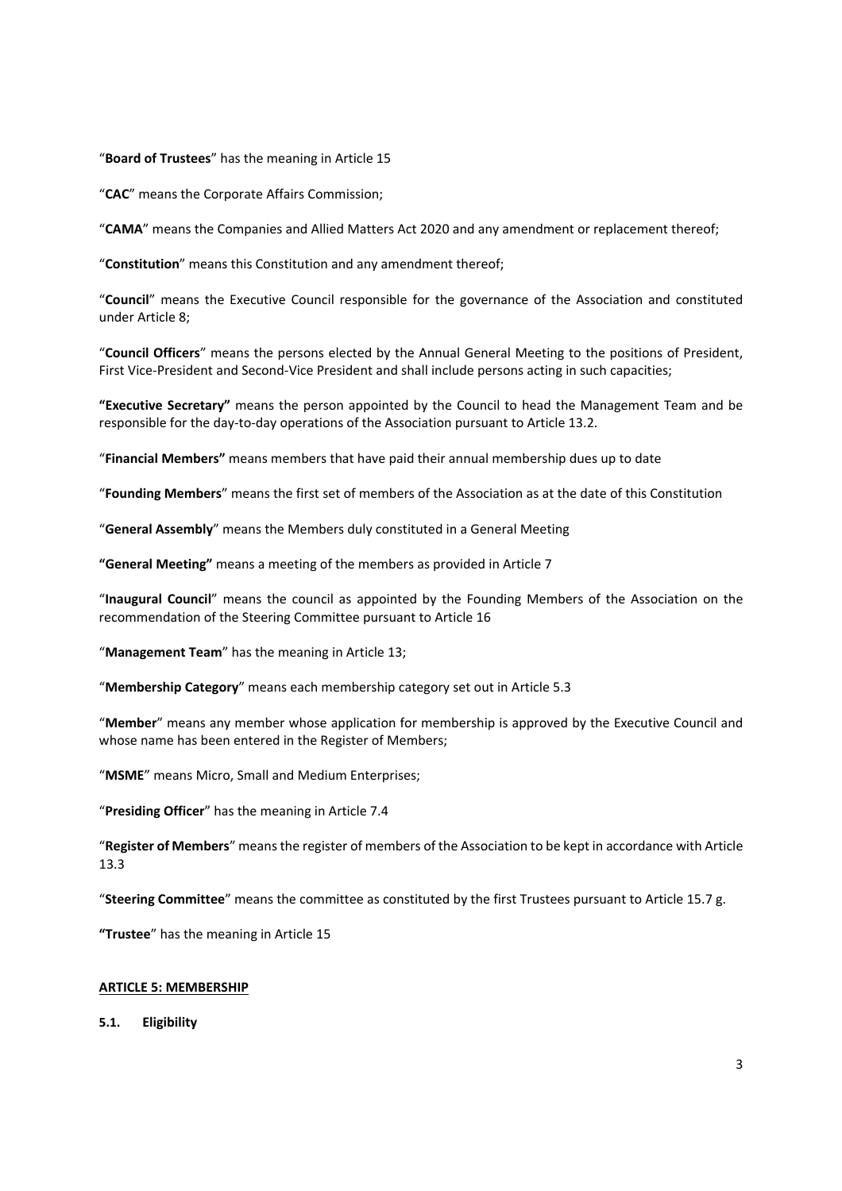#### "**Board of Trustees**" has the meaning in Article 15

"**CAC**" means the Corporate Affairs Commission;

"**CAMA**" means the Companies and Allied Matters Act 2020 and any amendment or replacement thereof;

"**Constitution**" means this Constitution and any amendment thereof;

"**Council**" means the Executive Council responsible for the governance of the Association and constituted under Article 8;

"**Council Officers**" means the persons elected by the Annual General Meeting to the positions of President, First Vice-President and Second-Vice President and shall include persons acting in such capacities;

**"Executive Secretary"** means the person appointed by the Council to head the Management Team and be responsible for the day-to-day operations of the Association pursuant to Article 13.2.

"**Financial Members"** means members that have paid their annual membership dues up to date

"**Founding Members**" means the first set of members of the Association as at the date of this Constitution

"**General Assembly**" means the Members duly constituted in a General Meeting

**"General Meeting"** means a meeting of the members as provided in Article 7

"**Inaugural Council**" means the council as appointed by the Founding Members of the Association on the recommendation of the Steering Committee pursuant to Article 16

"**Management Team**" has the meaning in Article 13;

"**Membership Category**" means each membership category set out in Article 5.3

"**Member**" means any member whose application for membership is approved by the Executive Council and whose name has been entered in the Register of Members;

"**MSME**" means Micro, Small and Medium Enterprises;

"**Presiding Officer**" has the meaning in Article 7.4

"**Register of Members**" means the register of members of the Association to be kept in accordance with Article 13.3

"**Steering Committee**" means the committee as constituted by the first Trustees pursuant to Article 15.7 g.

**"Trustee**" has the meaning in Article 15

#### **ARTICLE 5: MEMBERSHIP**

**5.1. Eligibility**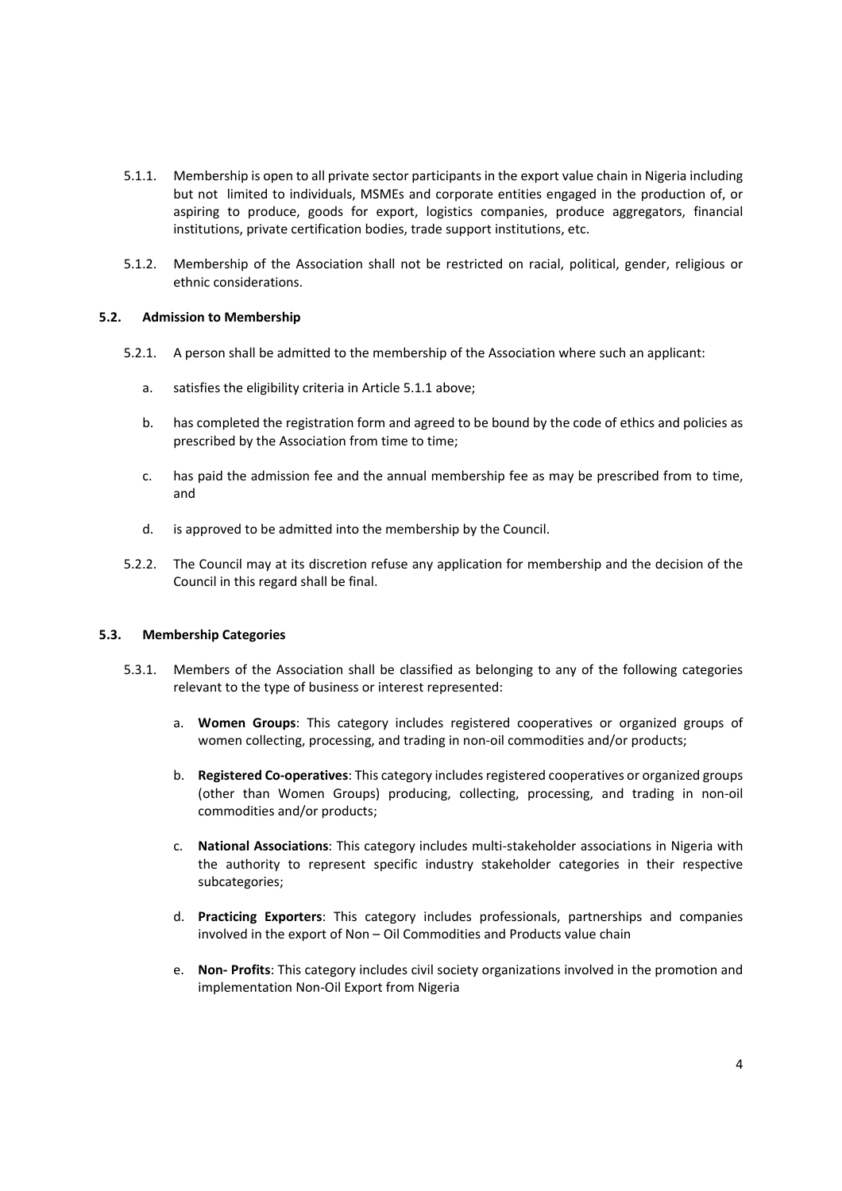- 5.1.1. Membership is open to all private sector participants in the export value chain in Nigeria including but not limited to individuals, MSMEs and corporate entities engaged in the production of, or aspiring to produce, goods for export, logistics companies, produce aggregators, financial institutions, private certification bodies, trade support institutions, etc.
- 5.1.2. Membership of the Association shall not be restricted on racial, political, gender, religious or ethnic considerations.

## **5.2. Admission to Membership**

- 5.2.1. A person shall be admitted to the membership of the Association where such an applicant:
	- a. satisfies the eligibility criteria in Article 5.1.1 above;
	- b. has completed the registration form and agreed to be bound by the code of ethics and policies as prescribed by the Association from time to time;
	- c. has paid the admission fee and the annual membership fee as may be prescribed from to time, and
	- d. is approved to be admitted into the membership by the Council.
- 5.2.2. The Council may at its discretion refuse any application for membership and the decision of the Council in this regard shall be final.

## **5.3. Membership Categories**

- 5.3.1. Members of the Association shall be classified as belonging to any of the following categories relevant to the type of business or interest represented:
	- a. **Women Groups**: This category includes registered cooperatives or organized groups of women collecting, processing, and trading in non-oil commodities and/or products;
	- b. **Registered Co‐operatives**: This category includes registered cooperatives or organized groups (other than Women Groups) producing, collecting, processing, and trading in non‐oil commodities and/or products;
	- c. **National Associations**: This category includes multi‐stakeholder associations in Nigeria with the authority to represent specific industry stakeholder categories in their respective subcategories;
	- d. **Practicing Exporters**: This category includes professionals, partnerships and companies involved in the export of Non – Oil Commodities and Products value chain
	- e. **Non‐ Profits**: This category includes civil society organizations involved in the promotion and implementation Non‐Oil Export from Nigeria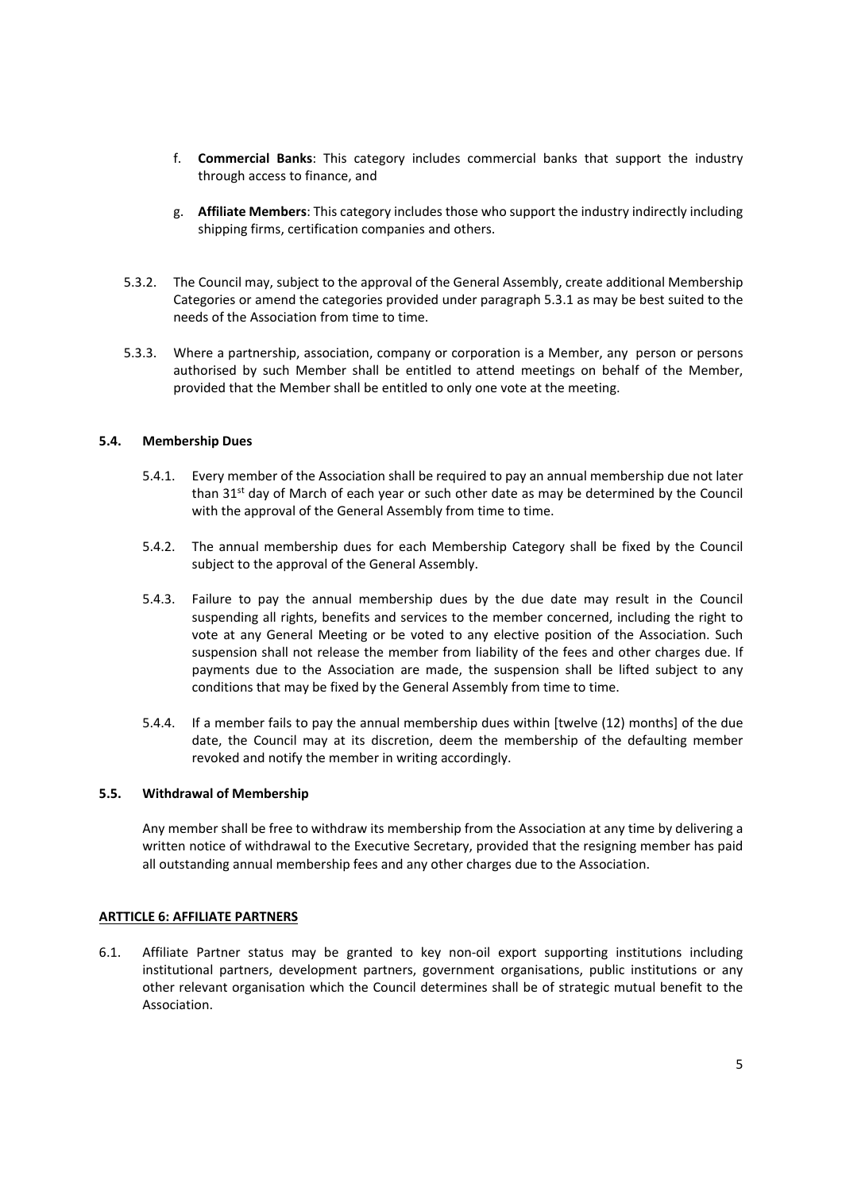- f. **Commercial Banks**: This category includes commercial banks that support the industry through access to finance, and
- g. **Affiliate Members**: This category includes those who support the industry indirectly including shipping firms, certification companies and others.
- 5.3.2. The Council may, subject to the approval of the General Assembly, create additional Membership Categories or amend the categories provided under paragraph 5.3.1 as may be best suited to the needs of the Association from time to time.
- 5.3.3. Where a partnership, association, company or corporation is a Member, any person or persons authorised by such Member shall be entitled to attend meetings on behalf of the Member, provided that the Member shall be entitled to only one vote at the meeting.

## **5.4. Membership Dues**

- 5.4.1. Every member of the Association shall be required to pay an annual membership due not later than  $31<sup>st</sup>$  day of March of each year or such other date as may be determined by the Council with the approval of the General Assembly from time to time.
- 5.4.2. The annual membership dues for each Membership Category shall be fixed by the Council subject to the approval of the General Assembly.
- 5.4.3. Failure to pay the annual membership dues by the due date may result in the Council suspending all rights, benefits and services to the member concerned, including the right to vote at any General Meeting or be voted to any elective position of the Association. Such suspension shall not release the member from liability of the fees and other charges due. If payments due to the Association are made, the suspension shall be lifted subject to any conditions that may be fixed by the General Assembly from time to time.
- 5.4.4. If a member fails to pay the annual membership dues within [twelve (12) months] of the due date, the Council may at its discretion, deem the membership of the defaulting member revoked and notify the member in writing accordingly.

## **5.5. Withdrawal of Membership**

Any member shall be free to withdraw its membership from the Association at any time by delivering a written notice of withdrawal to the Executive Secretary, provided that the resigning member has paid all outstanding annual membership fees and any other charges due to the Association.

## **ARTTICLE 6: AFFILIATE PARTNERS**

6.1. Affiliate Partner status may be granted to key non-oil export supporting institutions including institutional partners, development partners, government organisations, public institutions or any other relevant organisation which the Council determines shall be of strategic mutual benefit to the Association.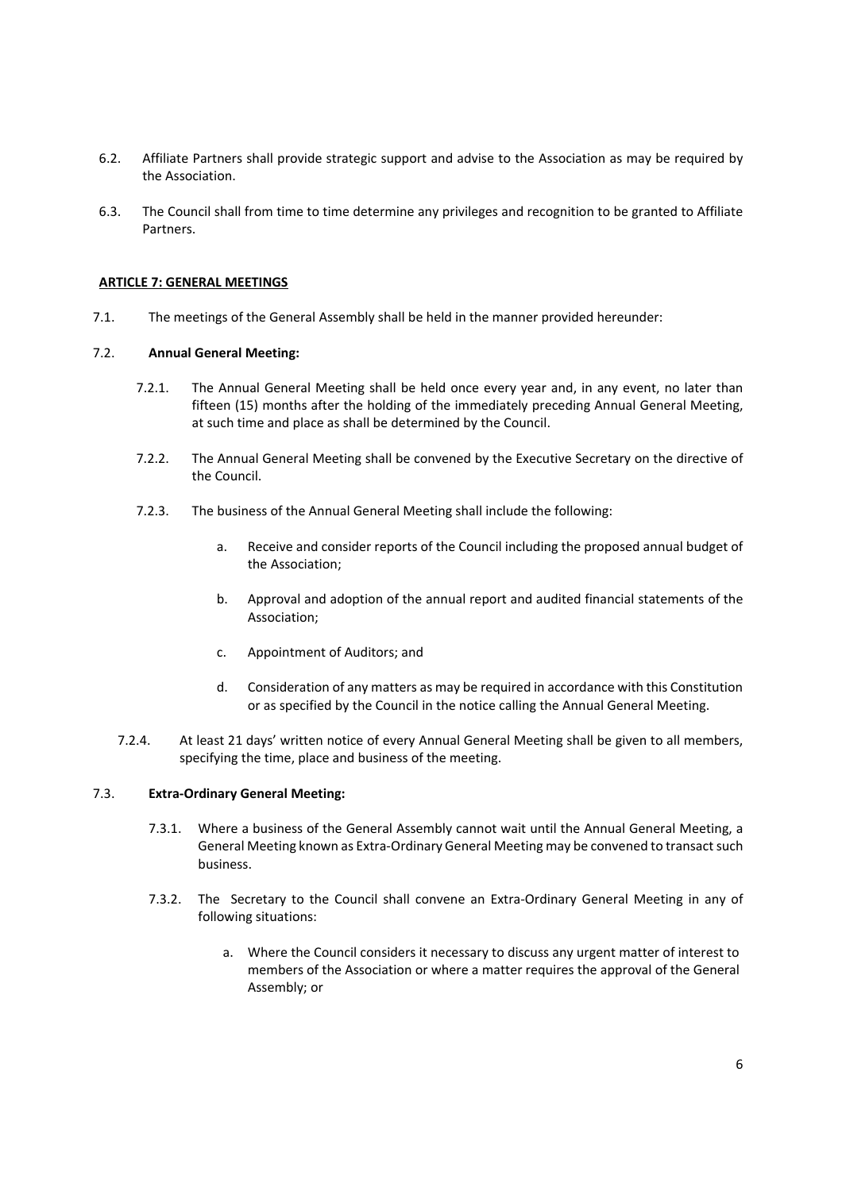- 6.2. Affiliate Partners shall provide strategic support and advise to the Association as may be required by the Association.
- 6.3. The Council shall from time to time determine any privileges and recognition to be granted to Affiliate Partners.

# **ARTICLE 7: GENERAL MEETINGS**

7.1. The meetings of the General Assembly shall be held in the manner provided hereunder:

## 7.2. **Annual General Meeting:**

- 7.2.1. The Annual General Meeting shall be held once every year and, in any event, no later than fifteen (15) months after the holding of the immediately preceding Annual General Meeting, at such time and place as shall be determined by the Council.
- 7.2.2. The Annual General Meeting shall be convened by the Executive Secretary on the directive of the Council.
- 7.2.3. The business of the Annual General Meeting shall include the following:
	- a. Receive and consider reports of the Council including the proposed annual budget of the Association;
	- b. Approval and adoption of the annual report and audited financial statements of the Association;
	- c. Appointment of Auditors; and
	- d. Consideration of any matters as may be required in accordance with this Constitution or as specified by the Council in the notice calling the Annual General Meeting.
- 7.2.4. At least 21 days' written notice of every Annual General Meeting shall be given to all members, specifying the time, place and business of the meeting.

## 7.3. **Extra‐Ordinary General Meeting:**

- 7.3.1. Where a business of the General Assembly cannot wait until the Annual General Meeting, a General Meeting known as Extra‐Ordinary General Meeting may be convened to transact such business.
- 7.3.2. The Secretary to the Council shall convene an Extra-Ordinary General Meeting in any of following situations:
	- a. Where the Council considers it necessary to discuss any urgent matter of interest to members of the Association or where a matter requires the approval of the General Assembly; or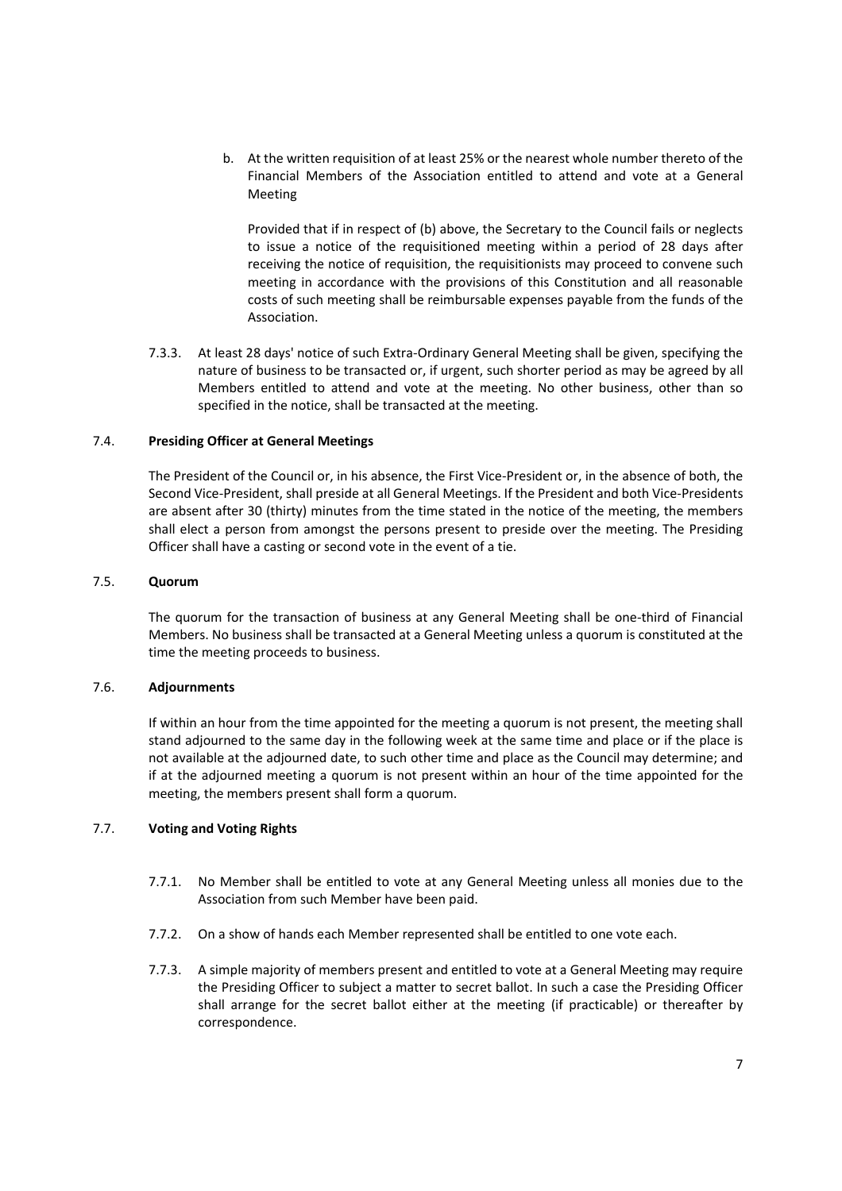b. At the written requisition of at least 25% or the nearest whole number thereto of the Financial Members of the Association entitled to attend and vote at a General Meeting

Provided that if in respect of (b) above, the Secretary to the Council fails or neglects to issue a notice of the requisitioned meeting within a period of 28 days after receiving the notice of requisition, the requisitionists may proceed to convene such meeting in accordance with the provisions of this Constitution and all reasonable costs of such meeting shall be reimbursable expenses payable from the funds of the Association.

7.3.3. At least 28 days' notice of such Extra‐Ordinary General Meeting shall be given, specifying the nature of business to be transacted or, if urgent, such shorter period as may be agreed by all Members entitled to attend and vote at the meeting. No other business, other than so specified in the notice, shall be transacted at the meeting.

## 7.4. **Presiding Officer at General Meetings**

The President of the Council or, in his absence, the First Vice‐President or, in the absence of both, the Second Vice‐President, shall preside at all General Meetings. If the President and both Vice‐Presidents are absent after 30 (thirty) minutes from the time stated in the notice of the meeting, the members shall elect a person from amongst the persons present to preside over the meeting. The Presiding Officer shall have a casting or second vote in the event of a tie.

# 7.5. **Quorum**

The quorum for the transaction of business at any General Meeting shall be one-third of Financial Members. No business shall be transacted at a General Meeting unless a quorum is constituted at the time the meeting proceeds to business.

## 7.6. **Adjournments**

If within an hour from the time appointed for the meeting a quorum is not present, the meeting shall stand adjourned to the same day in the following week at the same time and place or if the place is not available at the adjourned date, to such other time and place as the Council may determine; and if at the adjourned meeting a quorum is not present within an hour of the time appointed for the meeting, the members present shall form a quorum.

# 7.7. **Voting and Voting Rights**

- 7.7.1. No Member shall be entitled to vote at any General Meeting unless all monies due to the Association from such Member have been paid.
- 7.7.2. On a show of hands each Member represented shall be entitled to one vote each.
- 7.7.3. A simple majority of members present and entitled to vote at a General Meeting may require the Presiding Officer to subject a matter to secret ballot. In such a case the Presiding Officer shall arrange for the secret ballot either at the meeting (if practicable) or thereafter by correspondence.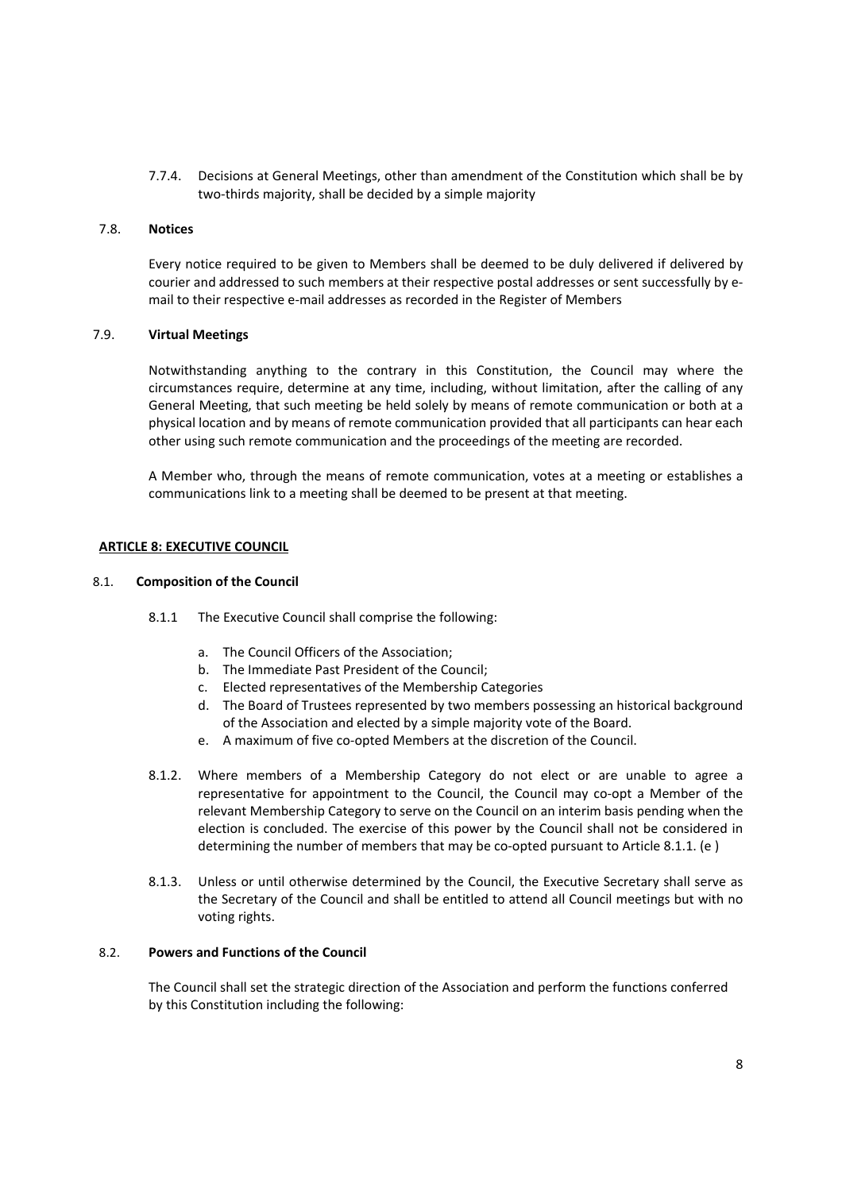7.7.4. Decisions at General Meetings, other than amendment of the Constitution which shall be by two-thirds majority, shall be decided by a simple majority

#### 7.8. **Notices**

Every notice required to be given to Members shall be deemed to be duly delivered if delivered by courier and addressed to such members at their respective postal addresses or sent successfully by e‐ mail to their respective e‐mail addresses as recorded in the Register of Members

# 7.9. **Virtual Meetings**

Notwithstanding anything to the contrary in this Constitution, the Council may where the circumstances require, determine at any time, including, without limitation, after the calling of any General Meeting, that such meeting be held solely by means of remote communication or both at a physical location and by means of remote communication provided that all participants can hear each other using such remote communication and the proceedings of the meeting are recorded.

A Member who, through the means of remote communication, votes at a meeting or establishes a communications link to a meeting shall be deemed to be present at that meeting.

#### **ARTICLE 8: EXECUTIVE COUNCIL**

#### 8.1. **Composition of the Council**

- 8.1.1 The Executive Council shall comprise the following:
	- a. The Council Officers of the Association;
	- b. The Immediate Past President of the Council;
	- c. Elected representatives of the Membership Categories
	- d. The Board of Trustees represented by two members possessing an historical background of the Association and elected by a simple majority vote of the Board.
	- e. A maximum of five co-opted Members at the discretion of the Council.
- 8.1.2. Where members of a Membership Category do not elect or are unable to agree a representative for appointment to the Council, the Council may co-opt a Member of the relevant Membership Category to serve on the Council on an interim basis pending when the election is concluded. The exercise of this power by the Council shall not be considered in determining the number of members that may be co-opted pursuant to Article 8.1.1. (e)
- 8.1.3. Unless or until otherwise determined by the Council, the Executive Secretary shall serve as the Secretary of the Council and shall be entitled to attend all Council meetings but with no voting rights.

## 8.2. **Powers and Functions of the Council**

The Council shall set the strategic direction of the Association and perform the functions conferred by this Constitution including the following: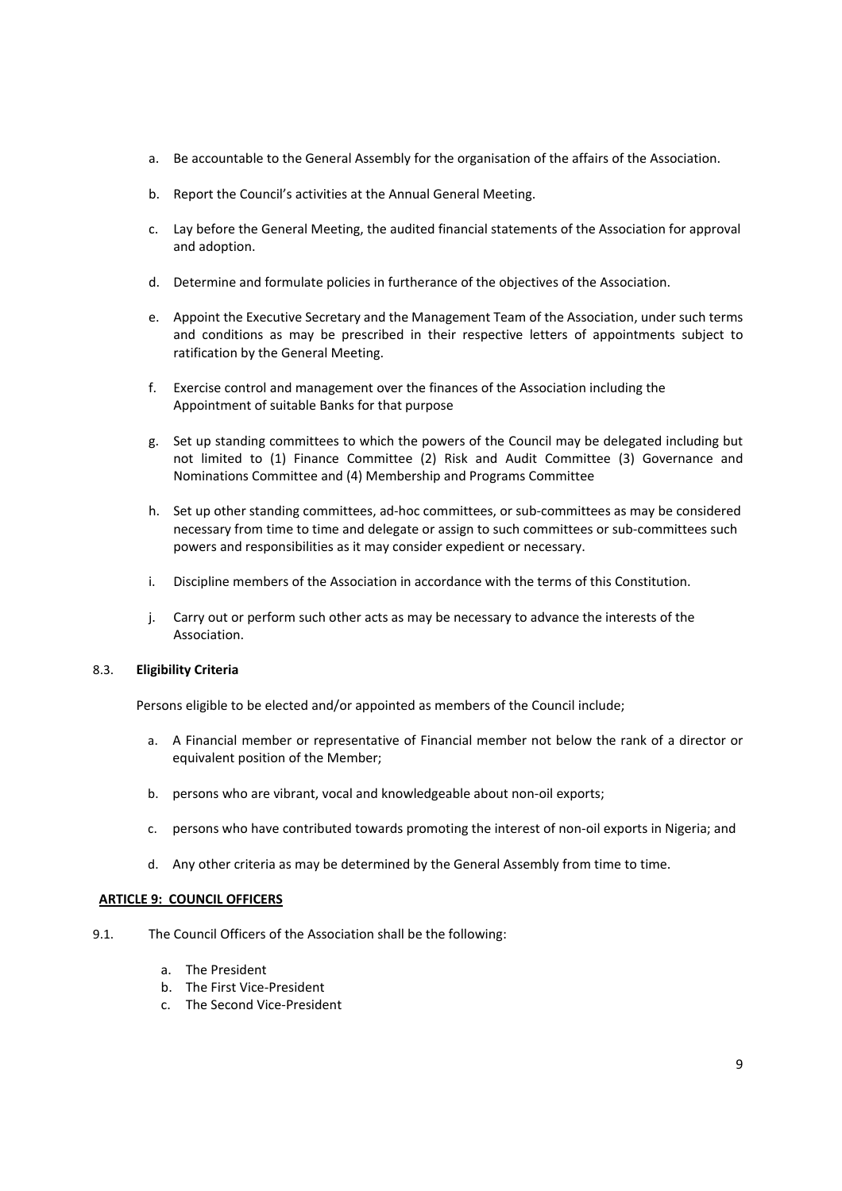- a. Be accountable to the General Assembly for the organisation of the affairs of the Association.
- b. Report the Council's activities at the Annual General Meeting.
- c. Lay before the General Meeting, the audited financial statements of the Association for approval and adoption.
- d. Determine and formulate policies in furtherance of the objectives of the Association.
- e. Appoint the Executive Secretary and the Management Team of the Association, under such terms and conditions as may be prescribed in their respective letters of appointments subject to ratification by the General Meeting.
- f. Exercise control and management over the finances of the Association including the Appointment of suitable Banks for that purpose
- g. Set up standing committees to which the powers of the Council may be delegated including but not limited to (1) Finance Committee (2) Risk and Audit Committee (3) Governance and Nominations Committee and (4) Membership and Programs Committee
- h. Set up other standing committees, ad-hoc committees, or sub-committees as may be considered necessary from time to time and delegate or assign to such committees or sub‐committees such powers and responsibilities as it may consider expedient or necessary.
- i. Discipline members of the Association in accordance with the terms of this Constitution.
- j. Carry out or perform such other acts as may be necessary to advance the interests of the Association.

## 8.3. **Eligibility Criteria**

Persons eligible to be elected and/or appointed as members of the Council include;

- a. A Financial member or representative of Financial member not below the rank of a director or equivalent position of the Member;
- b. persons who are vibrant, vocal and knowledgeable about non‐oil exports;
- c. persons who have contributed towards promoting the interest of non‐oil exports in Nigeria; and
- d. Any other criteria as may be determined by the General Assembly from time to time.

# **ARTICLE 9: COUNCIL OFFICERS**

- 9.1. The Council Officers of the Association shall be the following:
	- a. The President
	- b. The First Vice‐President
	- c. The Second Vice‐President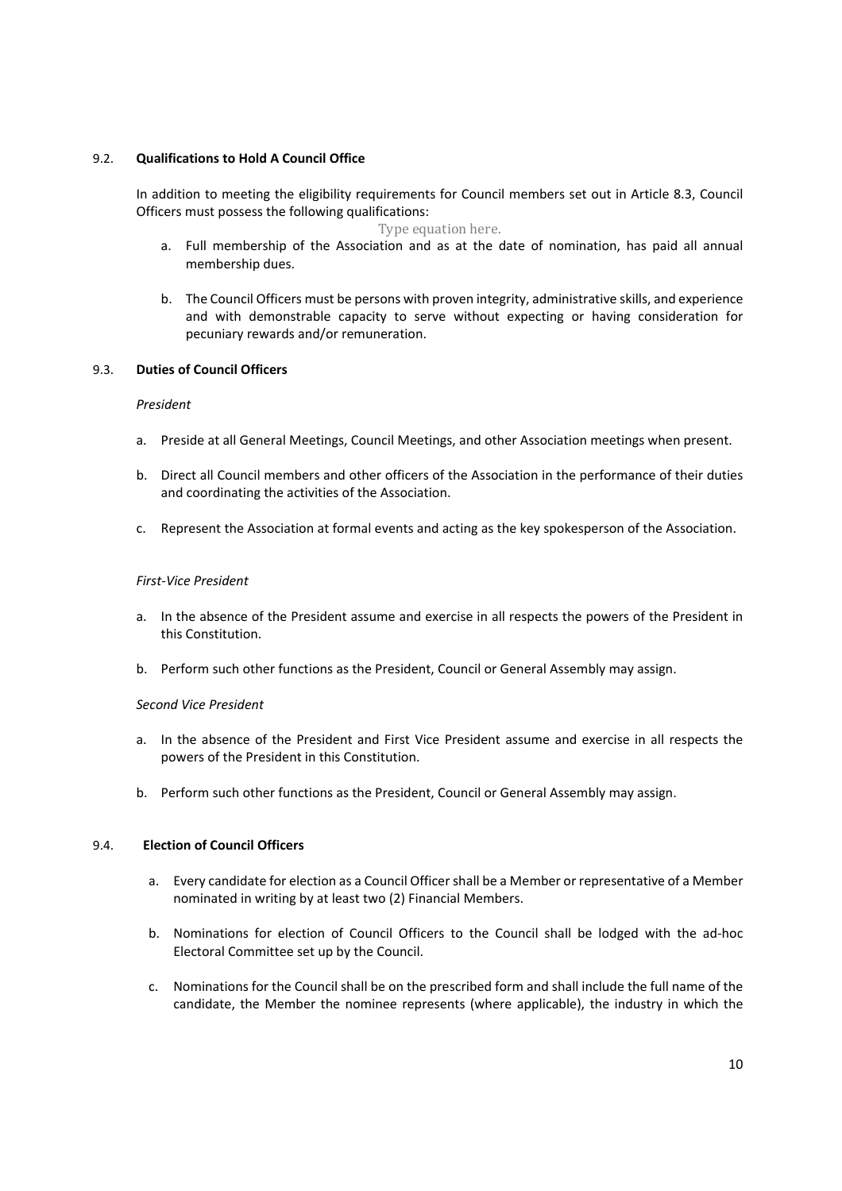# 9.2. **Qualifications to Hold A Council Office**

In addition to meeting the eligibility requirements for Council members set out in Article 8.3, Council Officers must possess the following qualifications:

Type equation here.

- a. Full membership of the Association and as at the date of nomination, has paid all annual membership dues.
- b. The Council Officers must be persons with proven integrity, administrative skills, and experience and with demonstrable capacity to serve without expecting or having consideration for pecuniary rewards and/or remuneration.

# 9.3. **Duties of Council Officers**

## *President*

- a. Preside at all General Meetings, Council Meetings, and other Association meetings when present.
- b. Direct all Council members and other officers of the Association in the performance of their duties and coordinating the activities of the Association.
- c. Represent the Association at formal events and acting as the key spokesperson of the Association.

# *First‐Vice President*

- a. In the absence of the President assume and exercise in all respects the powers of the President in this Constitution.
- b. Perform such other functions as the President, Council or General Assembly may assign.

# *Second Vice President*

- a. In the absence of the President and First Vice President assume and exercise in all respects the powers of the President in this Constitution.
- b. Perform such other functions as the President, Council or General Assembly may assign.

## 9.4. **Election of Council Officers**

- a. Every candidate for election as a Council Officer shall be a Member or representative of a Member nominated in writing by at least two (2) Financial Members.
- b. Nominations for election of Council Officers to the Council shall be lodged with the ad-hoc Electoral Committee set up by the Council.
- c. Nominations for the Council shall be on the prescribed form and shall include the full name of the candidate, the Member the nominee represents (where applicable), the industry in which the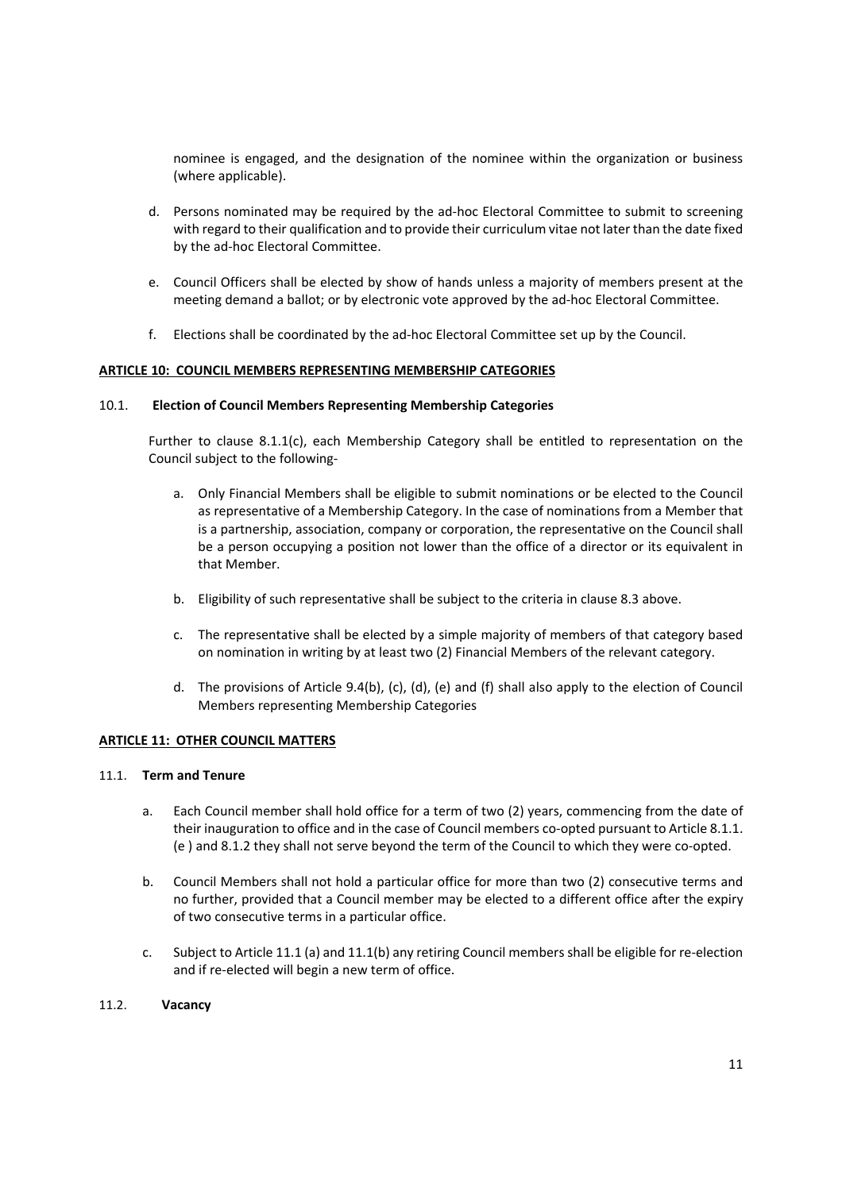nominee is engaged, and the designation of the nominee within the organization or business (where applicable).

- d. Persons nominated may be required by the ad-hoc Electoral Committee to submit to screening with regard to their qualification and to provide their curriculum vitae not later than the date fixed by the ad‐hoc Electoral Committee.
- e. Council Officers shall be elected by show of hands unless a majority of members present at the meeting demand a ballot; or by electronic vote approved by the ad‐hoc Electoral Committee.
- f. Elections shall be coordinated by the ad‐hoc Electoral Committee set up by the Council.

## **ARTICLE 10: COUNCIL MEMBERS REPRESENTING MEMBERSHIP CATEGORIES**

#### 10.1.  **Election of Council Members Representing Membership Categories**

Further to clause 8.1.1(c), each Membership Category shall be entitled to representation on the Council subject to the following‐

- a. Only Financial Members shall be eligible to submit nominations or be elected to the Council as representative of a Membership Category. In the case of nominations from a Member that is a partnership, association, company or corporation, the representative on the Council shall be a person occupying a position not lower than the office of a director or its equivalent in that Member.
- b. Eligibility of such representative shall be subject to the criteria in clause 8.3 above.
- c. The representative shall be elected by a simple majority of members of that category based on nomination in writing by at least two (2) Financial Members of the relevant category.
- d. The provisions of Article 9.4(b), (c), (d), (e) and (f) shall also apply to the election of Council Members representing Membership Categories

## **ARTICLE 11: OTHER COUNCIL MATTERS**

#### 11.1. **Term and Tenure**

- a. Each Council member shall hold office for a term of two (2) years, commencing from the date of their inauguration to office and in the case of Council members co-opted pursuant to Article 8.1.1. (e ) and 8.1.2 they shall not serve beyond the term of the Council to which they were co‐opted.
- b. Council Members shall not hold a particular office for more than two (2) consecutive terms and no further, provided that a Council member may be elected to a different office after the expiry of two consecutive terms in a particular office.
- c. Subject to Article 11.1 (a) and 11.1(b) any retiring Council members shall be eligible for re‐election and if re-elected will begin a new term of office.

## 11.2.  **Vacancy**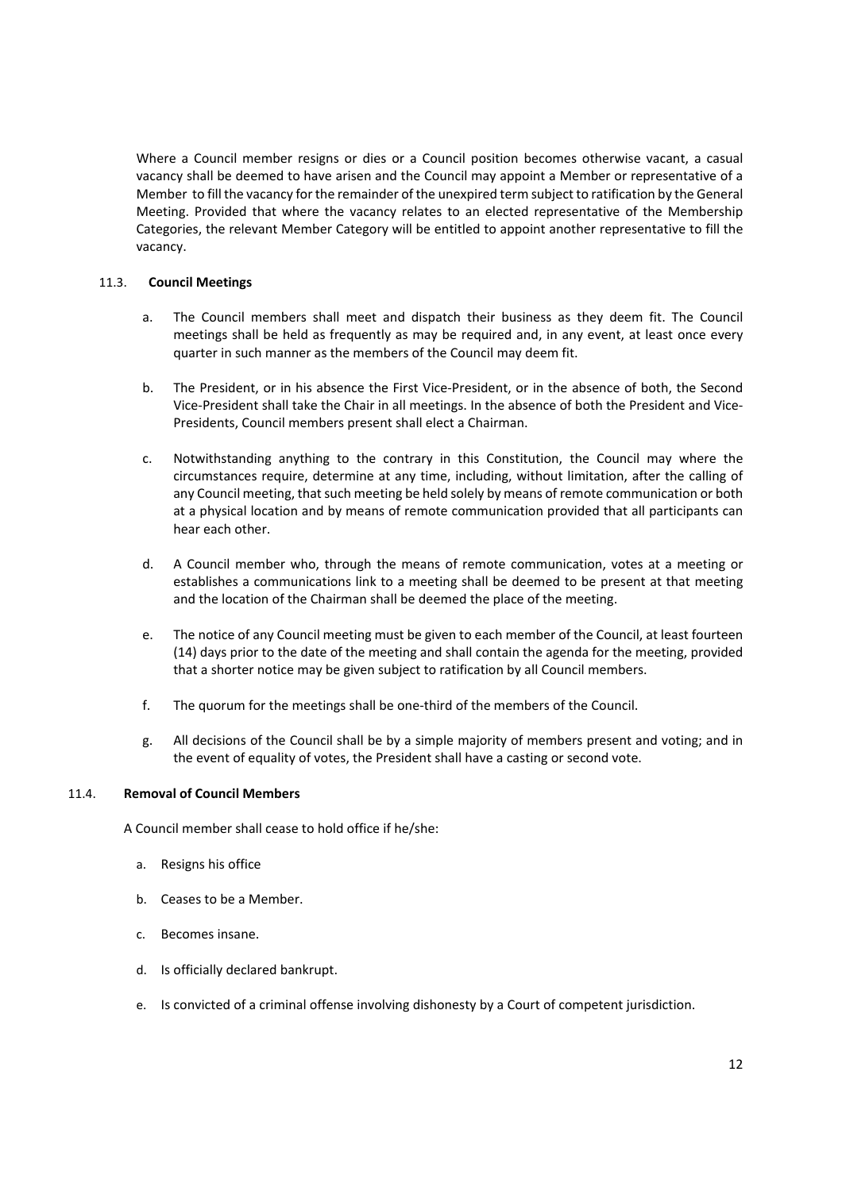Where a Council member resigns or dies or a Council position becomes otherwise vacant, a casual vacancy shall be deemed to have arisen and the Council may appoint a Member or representative of a Member to fill the vacancy for the remainder of the unexpired term subject to ratification by the General Meeting. Provided that where the vacancy relates to an elected representative of the Membership Categories, the relevant Member Category will be entitled to appoint another representative to fill the vacancy.

# 11.3. **Council Meetings**

- a. The Council members shall meet and dispatch their business as they deem fit. The Council meetings shall be held as frequently as may be required and, in any event, at least once every quarter in such manner as the members of the Council may deem fit.
- b. The President, or in his absence the First Vice‐President, or in the absence of both, the Second Vice‐President shall take the Chair in all meetings. In the absence of both the President and Vice‐ Presidents, Council members present shall elect a Chairman.
- c. Notwithstanding anything to the contrary in this Constitution, the Council may where the circumstances require, determine at any time, including, without limitation, after the calling of any Council meeting, that such meeting be held solely by means of remote communication or both at a physical location and by means of remote communication provided that all participants can hear each other.
- d. A Council member who, through the means of remote communication, votes at a meeting or establishes a communications link to a meeting shall be deemed to be present at that meeting and the location of the Chairman shall be deemed the place of the meeting.
- e. The notice of any Council meeting must be given to each member of the Council, at least fourteen (14) days prior to the date of the meeting and shall contain the agenda for the meeting, provided that a shorter notice may be given subject to ratification by all Council members.
- f. The quorum for the meetings shall be one-third of the members of the Council.
- g. All decisions of the Council shall be by a simple majority of members present and voting; and in the event of equality of votes, the President shall have a casting or second vote.

## 11.4. **Removal of Council Members**

A Council member shall cease to hold office if he/she:

- a. Resigns his office
- b. Ceases to be a Member.
- c. Becomes insane.
- d. Is officially declared bankrupt.
- e. Is convicted of a criminal offense involving dishonesty by a Court of competent jurisdiction.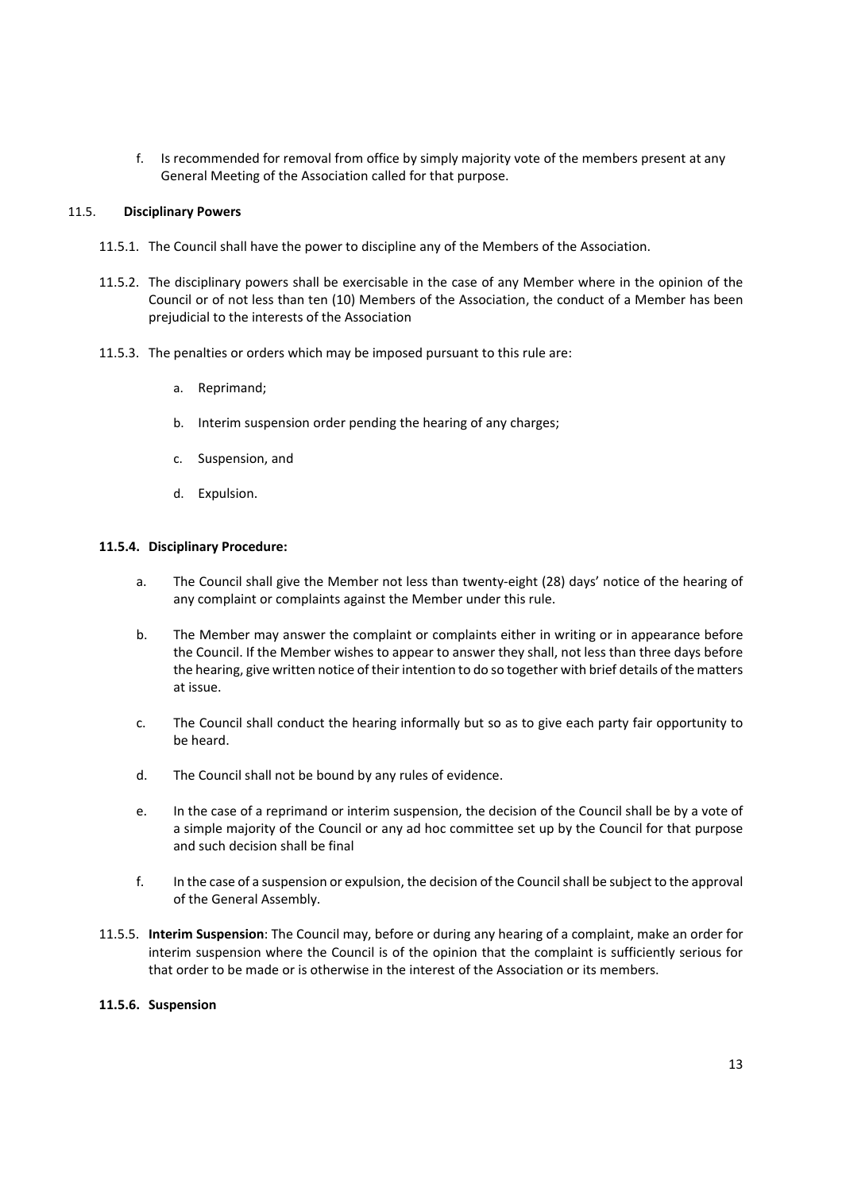f. Is recommended for removal from office by simply majority vote of the members present at any General Meeting of the Association called for that purpose.

#### 11.5. **Disciplinary Powers**

- 11.5.1. The Council shall have the power to discipline any of the Members of the Association.
- 11.5.2. The disciplinary powers shall be exercisable in the case of any Member where in the opinion of the Council or of not less than ten (10) Members of the Association, the conduct of a Member has been prejudicial to the interests of the Association
- 11.5.3. The penalties or orders which may be imposed pursuant to this rule are:
	- a. Reprimand;
	- b. Interim suspension order pending the hearing of any charges;
	- c. Suspension, and
	- d. Expulsion.

#### **11.5.4. Disciplinary Procedure:**

- a. The Council shall give the Member not less than twenty-eight (28) days' notice of the hearing of any complaint or complaints against the Member under this rule.
- b. The Member may answer the complaint or complaints either in writing or in appearance before the Council. If the Member wishes to appear to answer they shall, not less than three days before the hearing, give written notice of their intention to do so together with brief details of the matters at issue.
- c. The Council shall conduct the hearing informally but so as to give each party fair opportunity to be heard.
- d. The Council shall not be bound by any rules of evidence.
- e. In the case of a reprimand or interim suspension, the decision of the Council shall be by a vote of a simple majority of the Council or any ad hoc committee set up by the Council for that purpose and such decision shall be final
- f. In the case of a suspension or expulsion, the decision of the Council shall be subject to the approval of the General Assembly.
- 11.5.5. **Interim Suspension**: The Council may, before or during any hearing of a complaint, make an order for interim suspension where the Council is of the opinion that the complaint is sufficiently serious for that order to be made or is otherwise in the interest of the Association or its members.

#### **11.5.6. Suspension**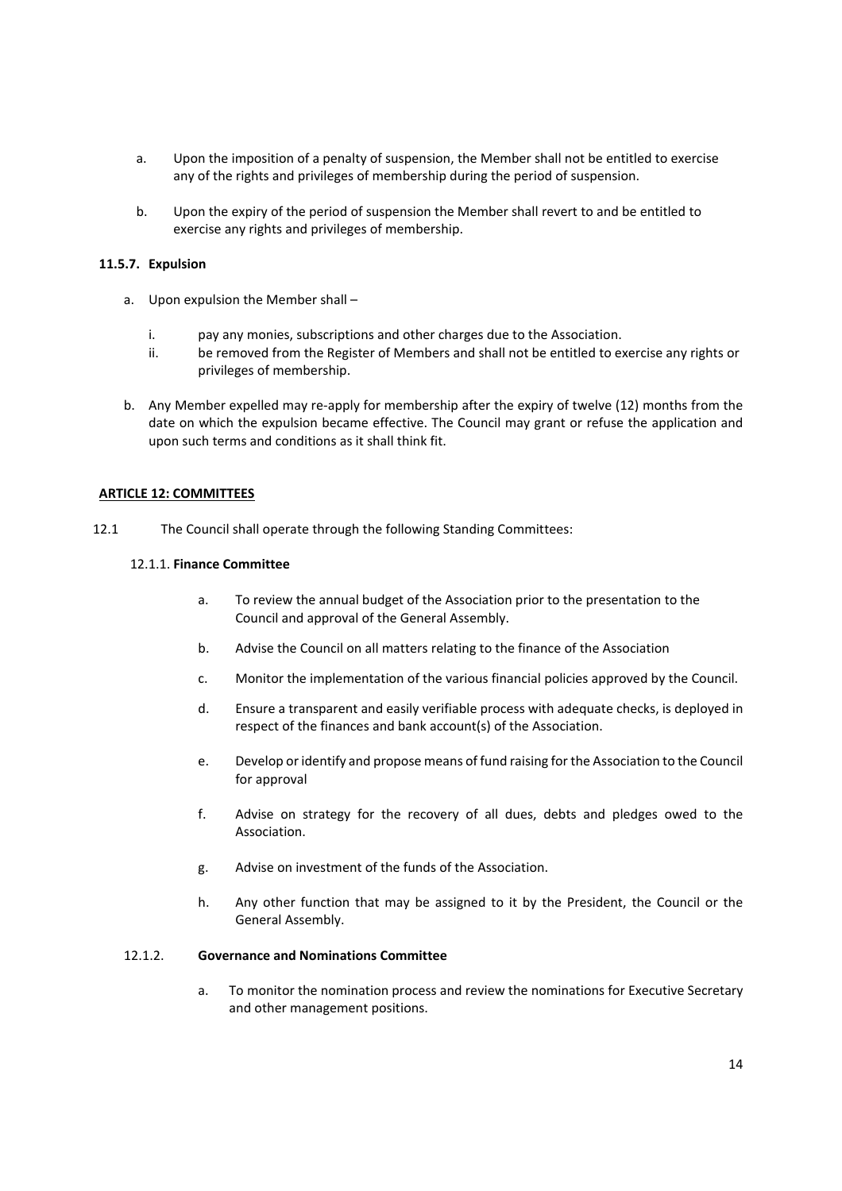- a. Upon the imposition of a penalty of suspension, the Member shall not be entitled to exercise any of the rights and privileges of membership during the period of suspension.
- b. Upon the expiry of the period of suspension the Member shall revert to and be entitled to exercise any rights and privileges of membership.

# **11.5.7. Expulsion**

- a. Upon expulsion the Member shall
	- i. pay any monies, subscriptions and other charges due to the Association.
	- ii. be removed from the Register of Members and shall not be entitled to exercise any rights or privileges of membership.
- b. Any Member expelled may re‐apply for membership after the expiry of twelve (12) months from the date on which the expulsion became effective. The Council may grant or refuse the application and upon such terms and conditions as it shall think fit.

# **ARTICLE 12: COMMITTEES**

12.1 The Council shall operate through the following Standing Committees:

# 12.1.1. **Finance Committee**

- a. To review the annual budget of the Association prior to the presentation to the Council and approval of the General Assembly.
- b. Advise the Council on all matters relating to the finance of the Association
- c. Monitor the implementation of the various financial policies approved by the Council.
- d. Ensure a transparent and easily verifiable process with adequate checks, is deployed in respect of the finances and bank account(s) of the Association.
- e. Develop or identify and propose means of fund raising for the Association to the Council for approval
- f. Advise on strategy for the recovery of all dues, debts and pledges owed to the Association.
- g. Advise on investment of the funds of the Association.
- h. Any other function that may be assigned to it by the President, the Council or the General Assembly.

# 12.1.2. **Governance and Nominations Committee**

a. To monitor the nomination process and review the nominations for Executive Secretary and other management positions.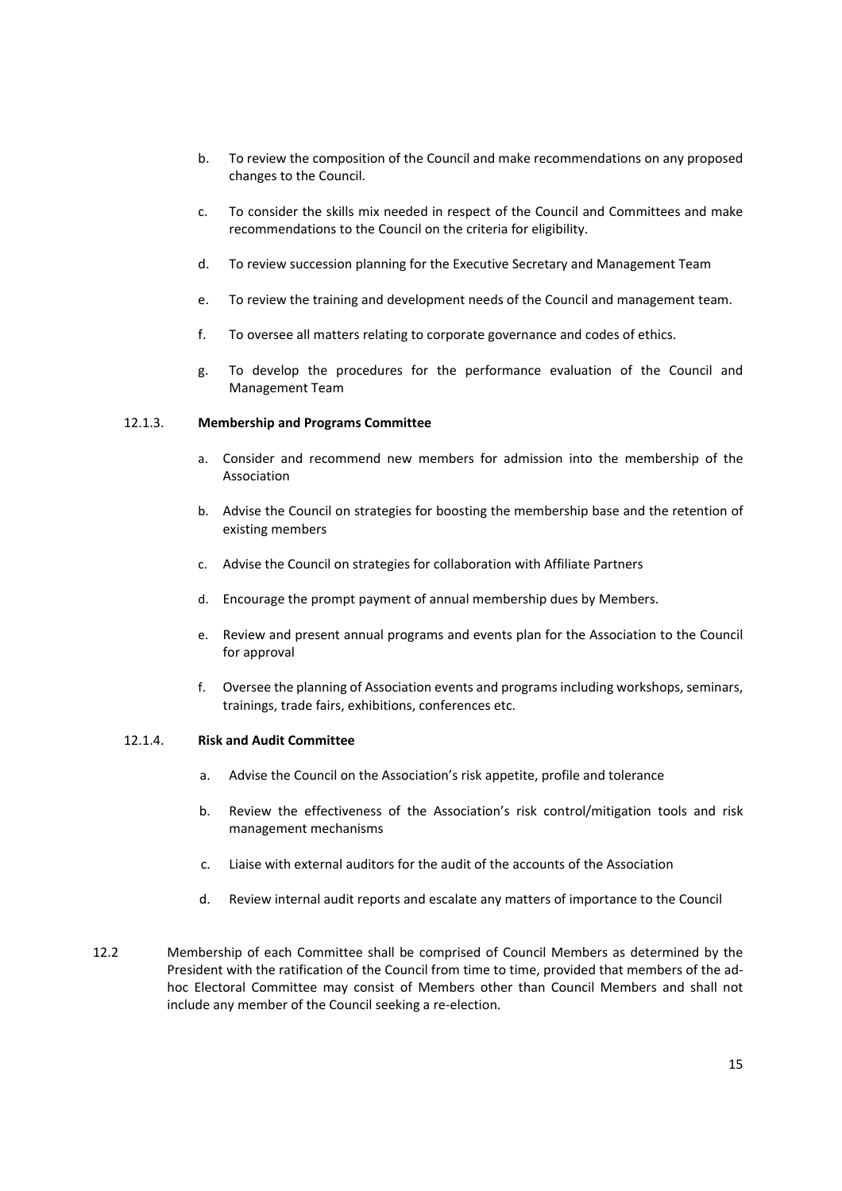- b. To review the composition of the Council and make recommendations on any proposed changes to the Council.
- c. To consider the skills mix needed in respect of the Council and Committees and make recommendations to the Council on the criteria for eligibility.
- d. To review succession planning for the Executive Secretary and Management Team
- e. To review the training and development needs of the Council and management team.
- f. To oversee all matters relating to corporate governance and codes of ethics.
- g. To develop the procedures for the performance evaluation of the Council and Management Team

#### 12.1.3. **Membership and Programs Committee**

- a. Consider and recommend new members for admission into the membership of the Association
- b. Advise the Council on strategies for boosting the membership base and the retention of existing members
- c. Advise the Council on strategies for collaboration with Affiliate Partners
- d. Encourage the prompt payment of annual membership dues by Members.
- e. Review and present annual programs and events plan for the Association to the Council for approval
- f. Oversee the planning of Association events and programs including workshops, seminars, trainings, trade fairs, exhibitions, conferences etc.

## 12.1.4. **Risk and Audit Committee**

- a. Advise the Council on the Association's risk appetite, profile and tolerance
- b. Review the effectiveness of the Association's risk control/mitigation tools and risk management mechanisms
- c. Liaise with external auditors for the audit of the accounts of the Association
- d. Review internal audit reports and escalate any matters of importance to the Council
- 12.2 Membership of each Committee shall be comprised of Council Members as determined by the President with the ratification of the Council from time to time, provided that members of the ad‐ hoc Electoral Committee may consist of Members other than Council Members and shall not include any member of the Council seeking a re‐election.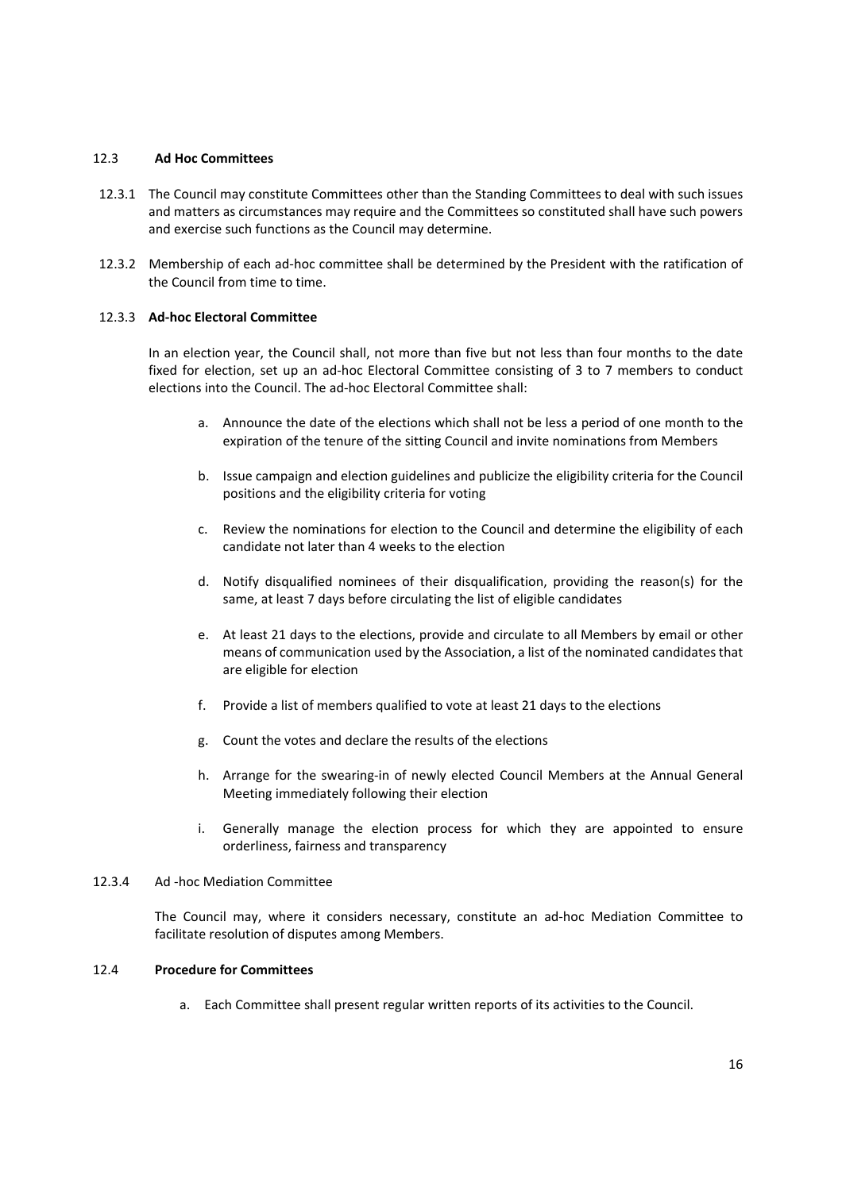#### 12.3 **Ad Hoc Committees**

- 12.3.1 The Council may constitute Committees other than the Standing Committees to deal with such issues and matters as circumstances may require and the Committees so constituted shall have such powers and exercise such functions as the Council may determine.
- 12.3.2 Membership of each ad-hoc committee shall be determined by the President with the ratification of the Council from time to time.

## 12.3.3 **Ad‐hoc Electoral Committee**

In an election year, the Council shall, not more than five but not less than four months to the date fixed for election, set up an ad-hoc Electoral Committee consisting of 3 to 7 members to conduct elections into the Council. The ad‐hoc Electoral Committee shall:

- a. Announce the date of the elections which shall not be less a period of one month to the expiration of the tenure of the sitting Council and invite nominations from Members
- b. Issue campaign and election guidelines and publicize the eligibility criteria for the Council positions and the eligibility criteria for voting
- c. Review the nominations for election to the Council and determine the eligibility of each candidate not later than 4 weeks to the election
- d. Notify disqualified nominees of their disqualification, providing the reason(s) for the same, at least 7 days before circulating the list of eligible candidates
- e. At least 21 days to the elections, provide and circulate to all Members by email or other means of communication used by the Association, a list of the nominated candidates that are eligible for election
- f. Provide a list of members qualified to vote at least 21 days to the elections
- g. Count the votes and declare the results of the elections
- h. Arrange for the swearing-in of newly elected Council Members at the Annual General Meeting immediately following their election
- i. Generally manage the election process for which they are appointed to ensure orderliness, fairness and transparency

# 12.3.4 Ad ‐hoc Mediation Committee

The Council may, where it considers necessary, constitute an ad-hoc Mediation Committee to facilitate resolution of disputes among Members.

## 12.4 **Procedure for Committees**

a. Each Committee shall present regular written reports of its activities to the Council.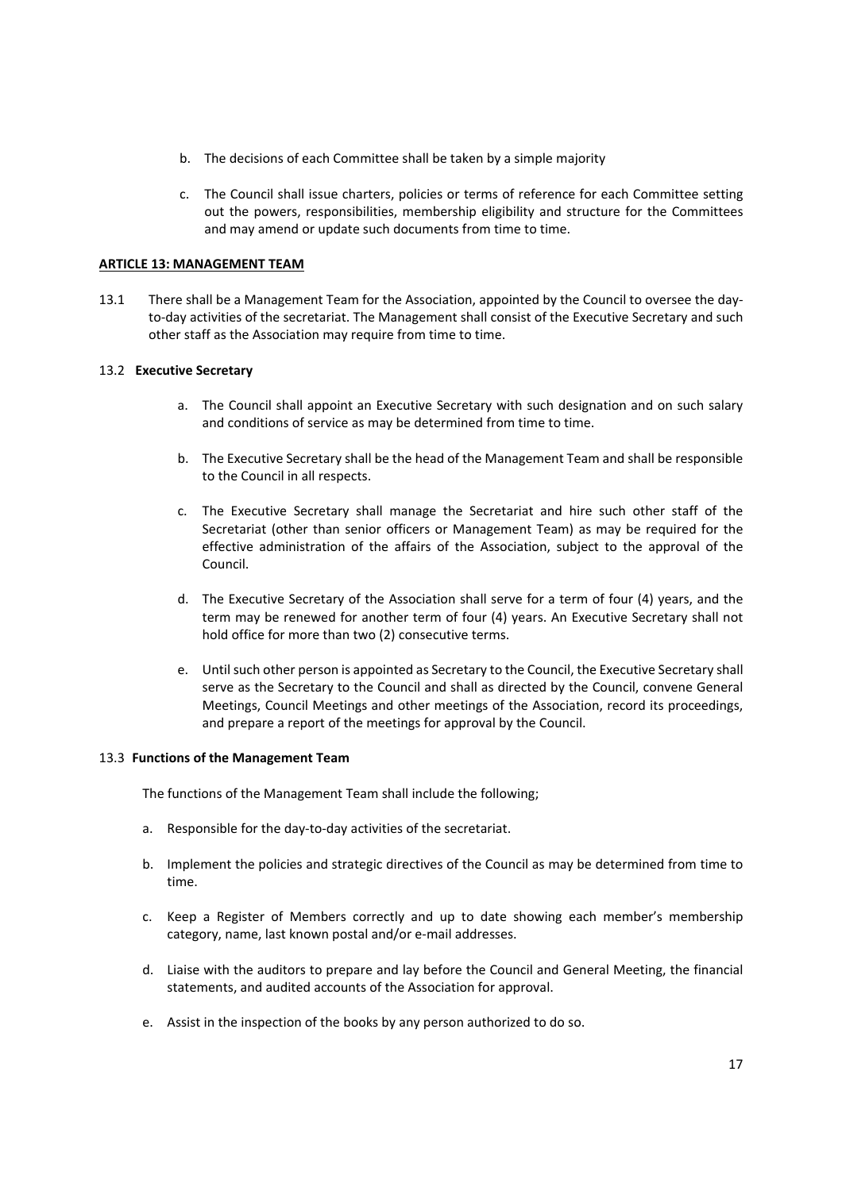- b. The decisions of each Committee shall be taken by a simple majority
- c. The Council shall issue charters, policies or terms of reference for each Committee setting out the powers, responsibilities, membership eligibility and structure for the Committees and may amend or update such documents from time to time.

# **ARTICLE 13: MANAGEMENT TEAM**

13.1 There shall be a Management Team for the Association, appointed by the Council to oversee the day‐ to-day activities of the secretariat. The Management shall consist of the Executive Secretary and such other staff as the Association may require from time to time.

## 13.2  **Executive Secretary**

- a. The Council shall appoint an Executive Secretary with such designation and on such salary and conditions of service as may be determined from time to time.
- b. The Executive Secretary shall be the head of the Management Team and shall be responsible to the Council in all respects.
- c. The Executive Secretary shall manage the Secretariat and hire such other staff of the Secretariat (other than senior officers or Management Team) as may be required for the effective administration of the affairs of the Association, subject to the approval of the Council.
- d. The Executive Secretary of the Association shall serve for a term of four (4) years, and the term may be renewed for another term of four (4) years. An Executive Secretary shall not hold office for more than two (2) consecutive terms.
- e. Until such other person is appointed as Secretary to the Council, the Executive Secretary shall serve as the Secretary to the Council and shall as directed by the Council, convene General Meetings, Council Meetings and other meetings of the Association, record its proceedings, and prepare a report of the meetings for approval by the Council.

#### 13.3 **Functions of the Management Team**

The functions of the Management Team shall include the following;

- a. Responsible for the day-to-day activities of the secretariat.
- b. Implement the policies and strategic directives of the Council as may be determined from time to time.
- c. Keep a Register of Members correctly and up to date showing each member's membership category, name, last known postal and/or e‐mail addresses.
- d. Liaise with the auditors to prepare and lay before the Council and General Meeting, the financial statements, and audited accounts of the Association for approval.
- e. Assist in the inspection of the books by any person authorized to do so.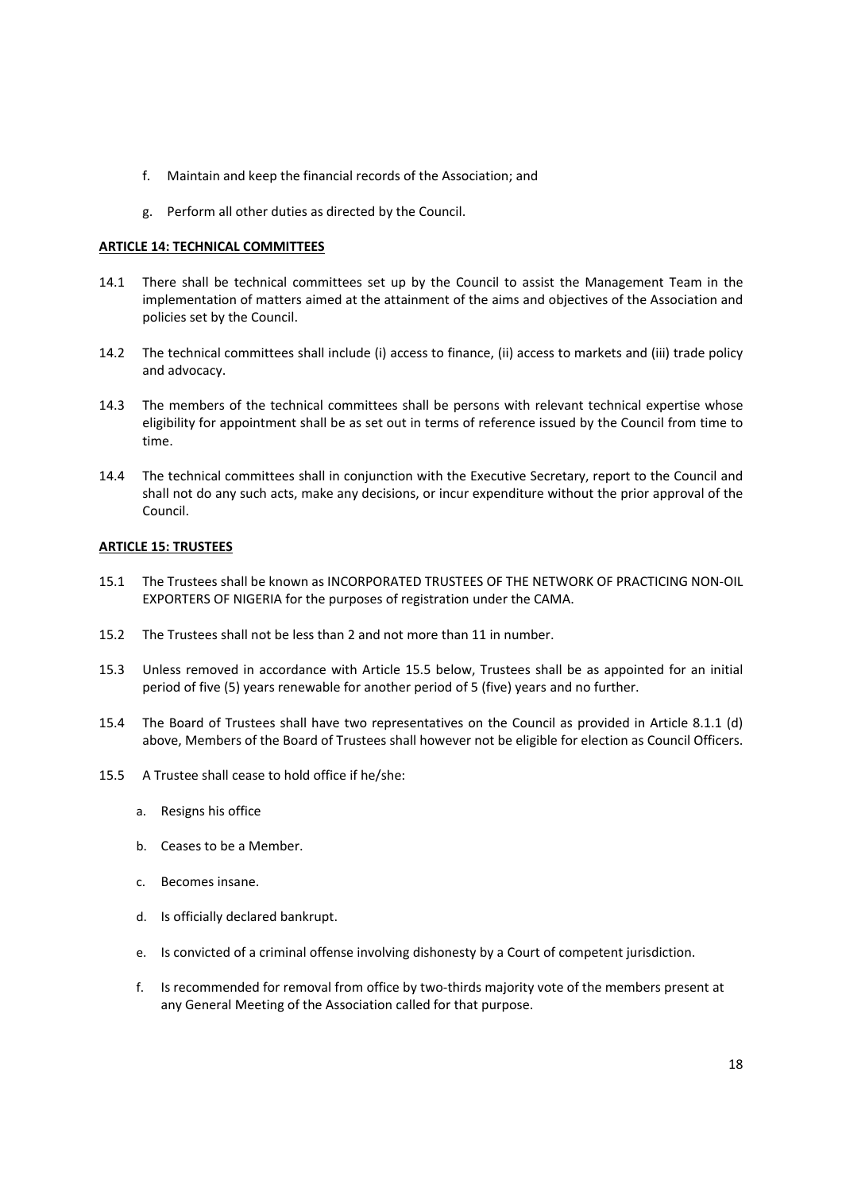- f. Maintain and keep the financial records of the Association; and
- g. Perform all other duties as directed by the Council.

# **ARTICLE 14: TECHNICAL COMMITTEES**

- 14.1 There shall be technical committees set up by the Council to assist the Management Team in the implementation of matters aimed at the attainment of the aims and objectives of the Association and policies set by the Council.
- 14.2 The technical committees shall include (i) access to finance, (ii) access to markets and (iii) trade policy and advocacy.
- 14.3 The members of the technical committees shall be persons with relevant technical expertise whose eligibility for appointment shall be as set out in terms of reference issued by the Council from time to time.
- 14.4 The technical committees shall in conjunction with the Executive Secretary, report to the Council and shall not do any such acts, make any decisions, or incur expenditure without the prior approval of the Council.

# **ARTICLE 15: TRUSTEES**

- 15.1 The Trustees shall be known as INCORPORATED TRUSTEES OF THE NETWORK OF PRACTICING NON‐OIL EXPORTERS OF NIGERIA for the purposes of registration under the CAMA.
- 15.2 The Trustees shall not be less than 2 and not more than 11 in number.
- 15.3 Unless removed in accordance with Article 15.5 below, Trustees shall be as appointed for an initial period of five (5) years renewable for another period of 5 (five) years and no further.
- 15.4 The Board of Trustees shall have two representatives on the Council as provided in Article 8.1.1 (d) above, Members of the Board of Trustees shall however not be eligible for election as Council Officers.
- 15.5 A Trustee shall cease to hold office if he/she:
	- a. Resigns his office
	- b. Ceases to be a Member.
	- c. Becomes insane.
	- d. Is officially declared bankrupt.
	- e. Is convicted of a criminal offense involving dishonesty by a Court of competent jurisdiction.
	- f. Is recommended for removal from office by two-thirds majority vote of the members present at any General Meeting of the Association called for that purpose.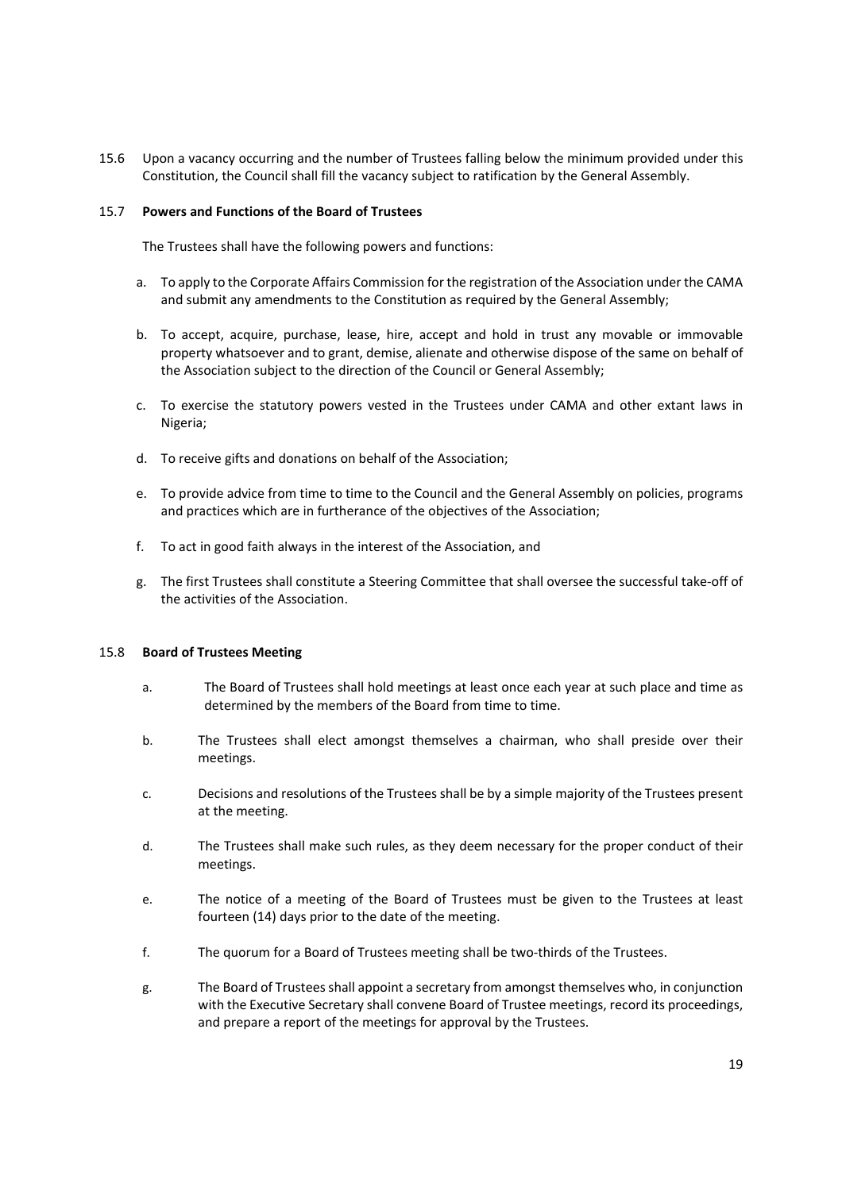15.6 Upon a vacancy occurring and the number of Trustees falling below the minimum provided under this Constitution, the Council shall fill the vacancy subject to ratification by the General Assembly.

## 15.7 **Powers and Functions of the Board of Trustees**

The Trustees shall have the following powers and functions:

- a. To apply to the Corporate Affairs Commission for the registration of the Association under the CAMA and submit any amendments to the Constitution as required by the General Assembly;
- b. To accept, acquire, purchase, lease, hire, accept and hold in trust any movable or immovable property whatsoever and to grant, demise, alienate and otherwise dispose of the same on behalf of the Association subject to the direction of the Council or General Assembly;
- c. To exercise the statutory powers vested in the Trustees under CAMA and other extant laws in Nigeria;
- d. To receive gifts and donations on behalf of the Association;
- e. To provide advice from time to time to the Council and the General Assembly on policies, programs and practices which are in furtherance of the objectives of the Association;
- f. To act in good faith always in the interest of the Association, and
- g. The first Trustees shall constitute a Steering Committee that shall oversee the successful take‐off of the activities of the Association.

#### 15.8 **Board of Trustees Meeting**

- a. The Board of Trustees shall hold meetings at least once each year at such place and time as determined by the members of the Board from time to time.
- b. The Trustees shall elect amongst themselves a chairman, who shall preside over their meetings.
- c. Decisions and resolutions of the Trustees shall be by a simple majority of the Trustees present at the meeting.
- d. The Trustees shall make such rules, as they deem necessary for the proper conduct of their meetings.
- e. The notice of a meeting of the Board of Trustees must be given to the Trustees at least fourteen (14) days prior to the date of the meeting.
- f. The quorum for a Board of Trustees meeting shall be two-thirds of the Trustees.
- g. The Board of Trustees shall appoint a secretary from amongst themselves who, in conjunction with the Executive Secretary shall convene Board of Trustee meetings, record its proceedings, and prepare a report of the meetings for approval by the Trustees.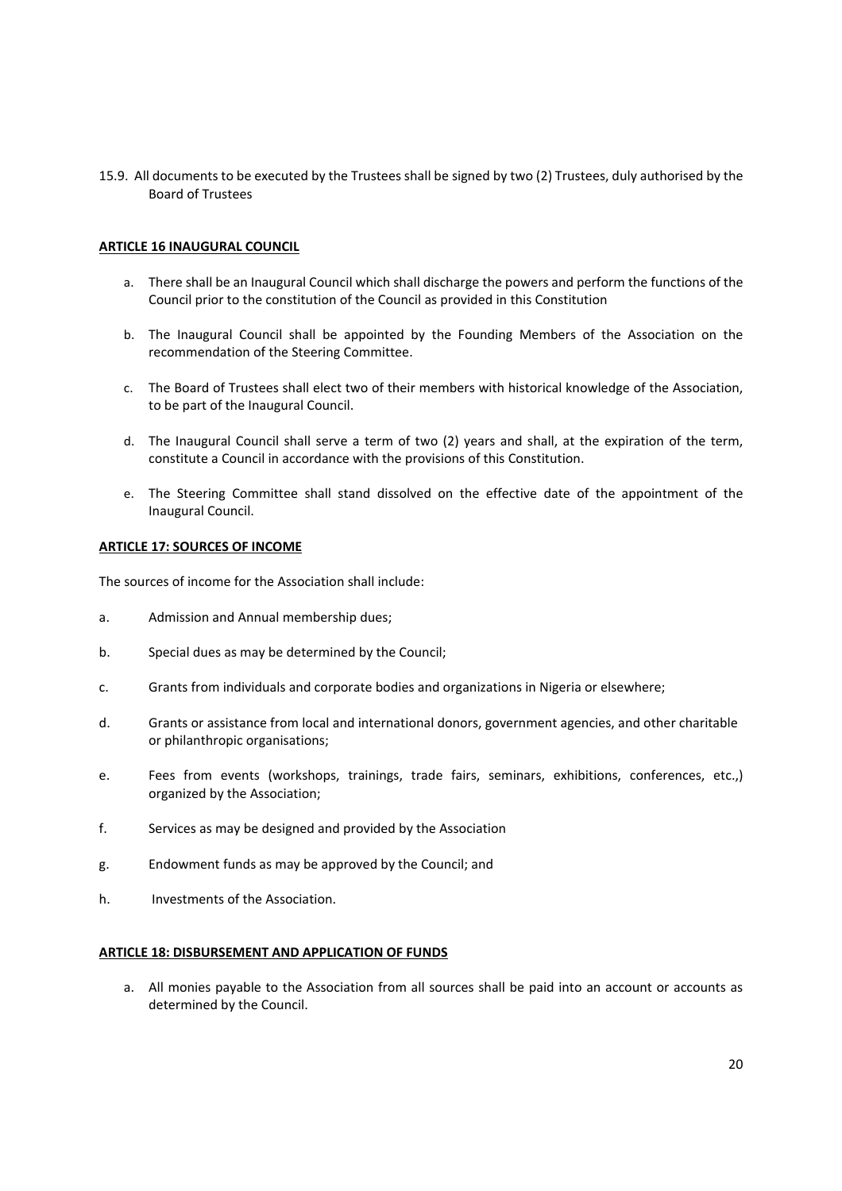15.9. All documents to be executed by the Trustees shall be signed by two (2) Trustees, duly authorised by the Board of Trustees

# **ARTICLE 16 INAUGURAL COUNCIL**

- a. There shall be an Inaugural Council which shall discharge the powers and perform the functions of the Council prior to the constitution of the Council as provided in this Constitution
- b. The Inaugural Council shall be appointed by the Founding Members of the Association on the recommendation of the Steering Committee.
- c. The Board of Trustees shall elect two of their members with historical knowledge of the Association, to be part of the Inaugural Council.
- d. The Inaugural Council shall serve a term of two (2) years and shall, at the expiration of the term, constitute a Council in accordance with the provisions of this Constitution.
- e. The Steering Committee shall stand dissolved on the effective date of the appointment of the Inaugural Council.

## **ARTICLE 17: SOURCES OF INCOME**

The sources of income for the Association shall include:

- a. Admission and Annual membership dues;
- b. Special dues as may be determined by the Council;
- c. Grants from individuals and corporate bodies and organizations in Nigeria or elsewhere;
- d. Grants or assistance from local and international donors, government agencies, and other charitable or philanthropic organisations;
- e. Fees from events (workshops, trainings, trade fairs, seminars, exhibitions, conferences, etc.,) organized by the Association;
- f. Services as may be designed and provided by the Association
- g. Endowment funds as may be approved by the Council; and
- h. Investments of the Association.

## **ARTICLE 18: DISBURSEMENT AND APPLICATION OF FUNDS**

a. All monies payable to the Association from all sources shall be paid into an account or accounts as determined by the Council.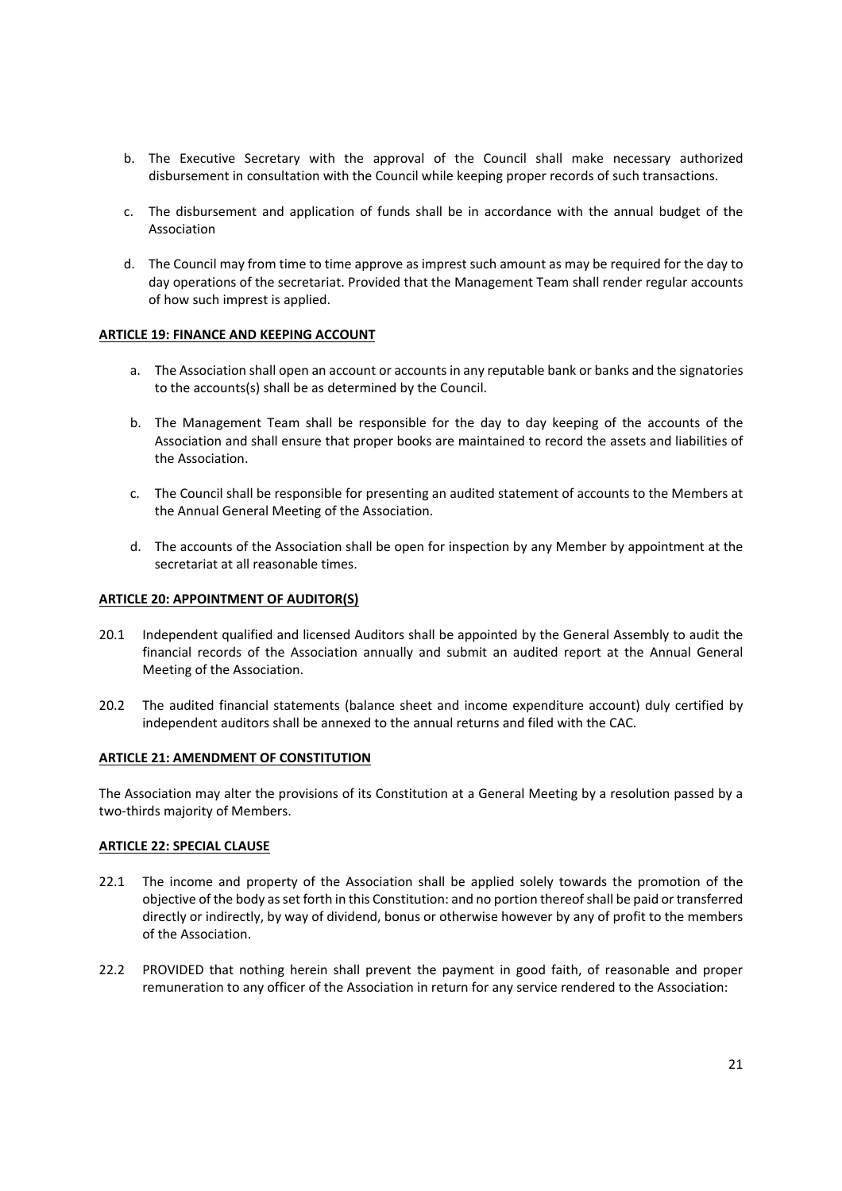- b. The Executive Secretary with the approval of the Council shall make necessary authorized disbursement in consultation with the Council while keeping proper records of such transactions.
- c. The disbursement and application of funds shall be in accordance with the annual budget of the Association
- d. The Council may from time to time approve as imprest such amount as may be required for the day to day operations of the secretariat. Provided that the Management Team shall render regular accounts of how such imprest is applied.

## **ARTICLE 19: FINANCE AND KEEPING ACCOUNT**

- a. The Association shall open an account or accounts in any reputable bank or banks and the signatories to the accounts(s) shall be as determined by the Council.
- b. The Management Team shall be responsible for the day to day keeping of the accounts of the Association and shall ensure that proper books are maintained to record the assets and liabilities of the Association.
- c. The Council shall be responsible for presenting an audited statement of accounts to the Members at the Annual General Meeting of the Association.
- d. The accounts of the Association shall be open for inspection by any Member by appointment at the secretariat at all reasonable times.

## **ARTICLE 20: APPOINTMENT OF AUDITOR(S)**

- 20.1 Independent qualified and licensed Auditors shall be appointed by the General Assembly to audit the financial records of the Association annually and submit an audited report at the Annual General Meeting of the Association.
- 20.2 The audited financial statements (balance sheet and income expenditure account) duly certified by independent auditors shall be annexed to the annual returns and filed with the CAC.

## **ARTICLE 21: AMENDMENT OF CONSTITUTION**

The Association may alter the provisions of its Constitution at a General Meeting by a resolution passed by a two‐thirds majority of Members.

# **ARTICLE 22: SPECIAL CLAUSE**

- 22.1 The income and property of the Association shall be applied solely towards the promotion of the objective of the body as set forth in this Constitution: and no portion thereof shall be paid or transferred directly or indirectly, by way of dividend, bonus or otherwise however by any of profit to the members of the Association.
- 22.2 PROVIDED that nothing herein shall prevent the payment in good faith, of reasonable and proper remuneration to any officer of the Association in return for any service rendered to the Association: